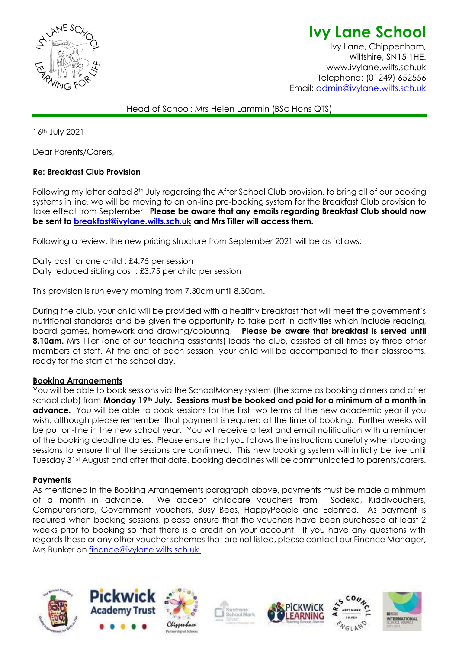

**Ivy Lane School** Ivy Lane, Chippenham,

Wiltshire, SN15 1HE. www.ivylane.wilts.sch.uk Telephone: (01249) 652556 Email: [admin@ivylane.wilts.sch.uk](mailto:admin@ivylane.wilts.sch.uk)

Head of School: Mrs Helen Lammin (BSc Hons QTS)

16th July 2021

Dear Parents/Carers,

## **Re: Breakfast Club Provision**

Following my letter dated 8th July regarding the After School Club provision, to bring all of our booking systems in line, we will be moving to an on-line pre-booking system for the Breakfast Club provision to take effect from September. **Please be aware that any emails regarding Breakfast Club should now be sent to [breakfast@ivylane.wilts.sch.uk](mailto:breakfast@ivylane.wilts.sch.uk) and Mrs Tiller will access them.**

Following a review, the new pricing structure from September 2021 will be as follows:

Daily cost for one child : £4.75 per session Daily reduced sibling cost : £3.75 per child per session

This provision is run every morning from 7.30am until 8.30am.

During the club, your child will be provided with a healthy breakfast that will meet the government's nutritional standards and be given the opportunity to take part in activities which include reading, board games, homework and drawing/colouring. **Please be aware that breakfast is served until 8.10am.** Mrs Tiller (one of our teaching assistants) leads the club, assisted at all times by three other members of staff. At the end of each session, your child will be accompanied to their classrooms, ready for the start of the school day.

## **Booking Arrangements**

You will be able to book sessions via the SchoolMoney system (the same as booking dinners and after school club) from **Monday 19th July. Sessions must be booked and paid for a minimum of a month in advance.** You will be able to book sessions for the first two terms of the new academic year if you wish, although please remember that payment is required at the time of booking. Further weeks will be put on-line in the new school year. You will receive a text and email notification with a reminder of the booking deadline dates. Please ensure that you follows the instructions carefully when booking sessions to ensure that the sessions are confirmed. This new booking system will initially be live until Tuesday 31st August and after that date, booking deadlines will be communicated to parents/carers.

## **Payments**

As mentioned in the Booking Arrangements paragraph above, payments must be made a minmum of a month in advance. We accept childcare vouchers from Sodexo, Kiddivouchers, Computershare, Government vouchers, Busy Bees, HappyPeople and Edenred. As payment is required when booking sessions, please ensure that the vouchers have been purchased at least 2 weeks prior to booking so that there is a credit on your account. If you have any questions with regards these or any other voucher schemes that are not listed, please contact our Finance Manager, Mrs Bunker on [finance@ivylane.wilts.sch.uk.](mailto:finance@ivylane.wilts.sch.uk)